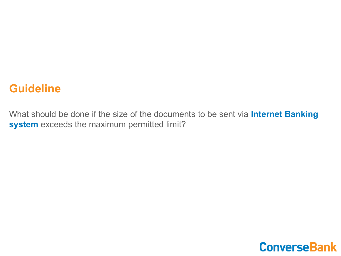### **Guideline**

What should be done if the size of the documents to be sent via **Internet Banking system** exceeds the maximum permitted limit?

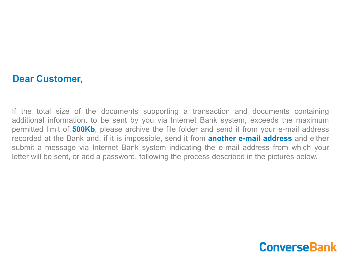#### **Dear Customer,**

If the total size of the documents supporting a transaction and documents containing additional information, to be sent by you via Internet Bank system, exceeds the maximum permitted limit of **500Kb**, please archive the file folder and send it from your e-mail address recorded at the Bank and, if it is impossible, send it from **another e-mail address** and either submit a message via Internet Bank system indicating the e-mail address from which your letter will be sent, or add a password, following the process described in the pictures below.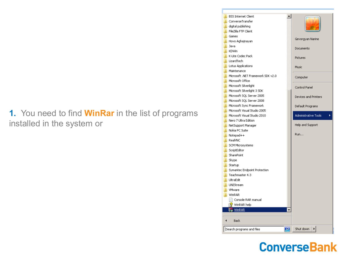### **1.** You need to find **WinRar** in the list of programs installed in the system or

| <b>BSS Internet Client</b><br>ConverseTransfer |                              |
|------------------------------------------------|------------------------------|
| digital publishing<br>FileZilla FTP Client     |                              |
| Games                                          |                              |
| ∣ <mark>.</mark> Hovo Aghajnayan               | Gevorgyan Narine             |
| Java                                           |                              |
| KDWin                                          | Documents                    |
| K-Lite Codec Pack                              | Pictures                     |
| LizardTech                                     |                              |
| Lotus Applications                             | Music                        |
| <b>Maintenance</b>                             |                              |
| Microsoft .NET Framework SDK v2.0              | Computer                     |
| Microsoft Office                               |                              |
| Microsoft Silverlight                          | Control Panel                |
| Microsoft Silverlight 3 SDK                    |                              |
| Microsoft SQL Server 2005                      | Devices and Printers         |
| Microsoft SQL Server 2008                      |                              |
| <b>Microsoft Sync Framework</b>                | Default Programs             |
| Microsoft Visual Studio 2005                   |                              |
| Microsoft Visual Studio 2010                   | Administrative Tools         |
| Nero 7 Ultra Edition                           |                              |
| NetSupport Manager                             | Help and Support             |
| Nokia PC Suite                                 |                              |
| $\blacksquare$ Notepad++                       | Run                          |
| <b>N</b> RealVNC                               |                              |
| <b>SCM Microsystems</b>                        |                              |
| ScriptEditor                                   |                              |
| SharePoint                                     |                              |
| Skype                                          |                              |
| Startup                                        |                              |
| Symantec Endpoint Protection                   |                              |
| Teachmaster 4.3<br>UltraEdit                   |                              |
| UNIStream                                      |                              |
| VMware                                         |                              |
| WinRAR                                         |                              |
| Console RAR manual                             |                              |
| WinRAR help                                    |                              |
| <b>WinRAR</b>                                  |                              |
|                                                |                              |
| <b>Back</b>                                    |                              |
| Search programs and files                      | Shut down<br>$ \mathcal{Q} $ |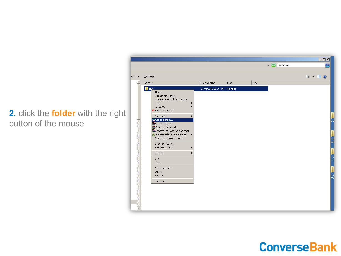#### **2.** click the **folder** with the right button of the mouse

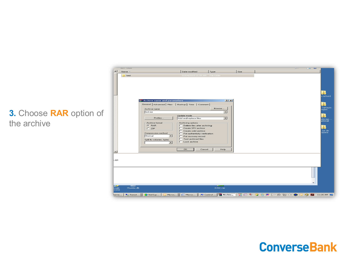|          | $\sim$<br>Name -                                         |                                                                                                                                                      | Date modified                                                                                                                                                                                                    | Type                                       | Size | <b>Contract</b> | $\rightarrow$       |
|----------|----------------------------------------------------------|------------------------------------------------------------------------------------------------------------------------------------------------------|------------------------------------------------------------------------------------------------------------------------------------------------------------------------------------------------------------------|--------------------------------------------|------|-----------------|---------------------|
|          | test                                                     |                                                                                                                                                      | 07/04/2018 11:05 AM File folder                                                                                                                                                                                  |                                            |      |                 |                     |
|          |                                                          | $\equiv$ Archive name and parameters                                                                                                                 |                                                                                                                                                                                                                  | $2 \times$                                 |      |                 | v achurd.           |
|          |                                                          | Archive name                                                                                                                                         | General   Advanced   Files   Backup   Time   Comment                                                                                                                                                             | Browse                                     |      |                 | varkayin<br>egistr. |
| otion of |                                                          | test.rar<br>Profiles                                                                                                                                 | Update mode<br>Add and replace files                                                                                                                                                                             | $\overline{\phantom{a}}$<br>$\blacksquare$ |      |                 | idoragr<br>ankmail  |
|          |                                                          | Archive format<br>$C$ BAB<br>CZIP<br>Compression method<br>Normal<br>$\overline{\phantom{a}}$<br>Split to volumes, bytes<br>$\overline{\phantom{a}}$ | Archiving options<br>Delete files after archiving<br>□ Create SFX archive<br>$\Box$ Create solid archive<br>F Put authenticity verification<br>Put recovery record<br>Test archived files<br>$\Box$ Lock archive |                                            |      |                 | sur de<br>spana     |
|          | $-1$                                                     |                                                                                                                                                      | OK.<br>Cancel                                                                                                                                                                                                    | <b>Help</b>                                |      |                 |                     |
|          | AM.                                                      |                                                                                                                                                      |                                                                                                                                                                                                                  |                                            |      |                 |                     |
|          |                                                          |                                                                                                                                                      |                                                                                                                                                                                                                  |                                            |      |                 |                     |
|          | <b>PE</b><br><b>START</b><br>Thumbs.db<br>oogle<br>hrome |                                                                                                                                                      |                                                                                                                                                                                                                  | RVNC.rar                                   |      |                 |                     |

#### **3. Choose RAR option** the archive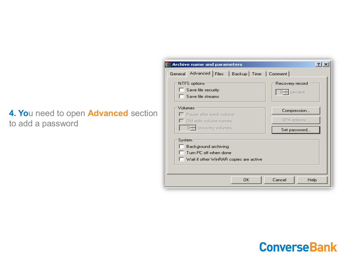### **4. Yo**u need to open **Advanced** section to add a password

| <b>Archive name and parameters</b>                                                                         | ?                                                 |
|------------------------------------------------------------------------------------------------------------|---------------------------------------------------|
| General Advanced Files   Backup   Time   Comment                                                           |                                                   |
| NTFS options:<br>$\Box$ Save file security<br>$\Box$ Save file streams                                     | Recovery record<br>$0 \frac{1}{\sqrt{2}}$ percent |
| Volumes<br>□ Pause after each volume<br>Old style volume names<br>0- recovery volumes                      | Compression<br>SFX options<br>Set password        |
| System<br>□ Background archiving<br>$\Box$ Turn PC off when done<br>Wait if other WinRAR copies are active |                                                   |
| OK.                                                                                                        | Cancel<br>Help                                    |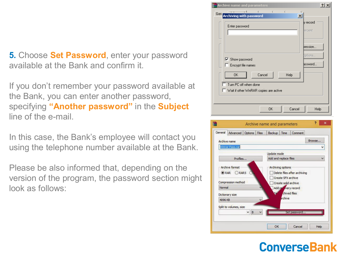**5.** Choose **Set Password**, enter your password available at the Bank and confirm it.

If you don't remember your password available at the Bank, you can enter another password, specifying **"Another password"** in the **Subject**  line of the e-mail.

In this case, the Bank's employee will contact you using the telephone number available at the Bank.

Please be also informed that, depending on the version of the program, the password section might look as follows: